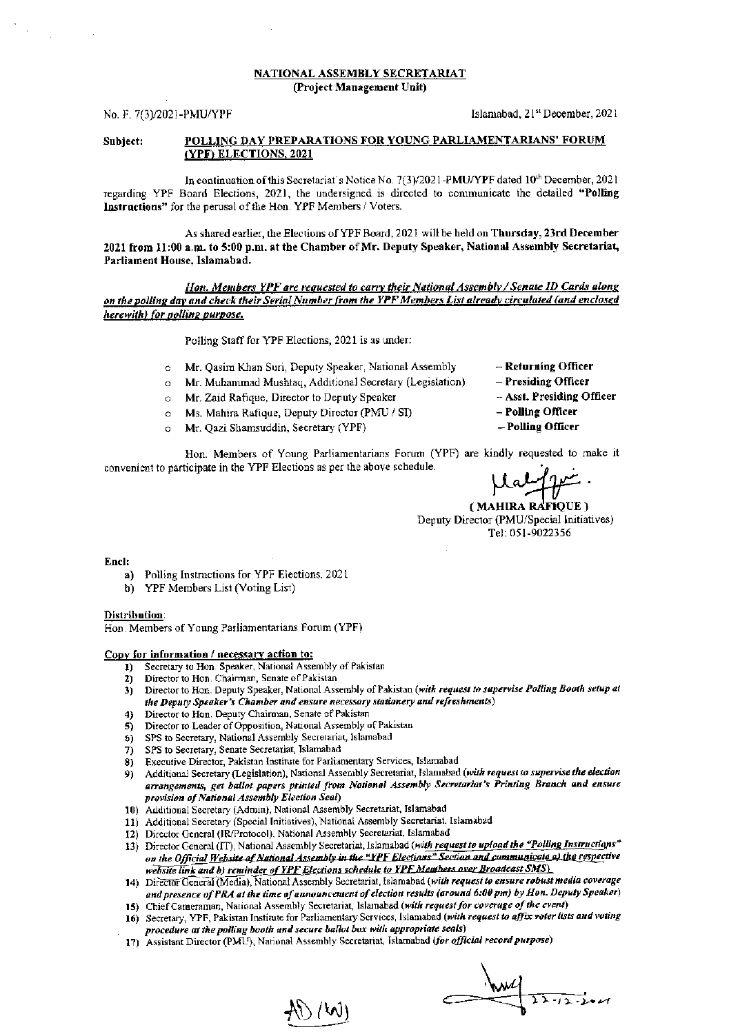#### NATIONAL ASSEMBLY SECRETARIAT (Project Management Unit)

No. F. 7(3)/2021-PMU/YPF 12021 [Slamabad, 21<sup>st</sup> December, 2021]

### Subject: POLLING DAY PREPARATIONS FOR YOUNG PARLIAMENTARIANS' FORUM (YPF) ELECTIONS, 2021

In continuation of this Secretariat's Notice No. 7(3)/2021-PMU/YPF dated 10<sup>th</sup> December, 2021 regarding YPF Board Elections, 2021, the undersigned is directed to communicate the detailed "Polling Instructions" for the perusal of the Hon. YPF Members / Voters.

As shared earlier, the Elections of YPF Board, 2021 will be held on Thursday, 23rd December 2021 from 11:00 a.m. to 5:00 p.m. at the Chamber of Mr. Deputy Speaker, National Assembly Secretariat, Parliament House, Islamabad.

Hon. Members YPF are requested to carry their National Assembly / Senate ID Cards along on the polling day and check their Serial Number from the YPF Members List already circulated (and enclosed herewith) for polling purpose.

Polling Staff for YPF Elections, 2021 is as under:

- o Mr. Qasim Khan Suri, Deputy Speaker, National Assembly
- o Mr. Muhammad Mushtaq, Additional Secretary (Legislation)
- o Mr. Zaid Rafique, Director to Deputy Speaker
- c Ms. Mahira Rafique, Deputy Director (PMU / SI)
- c Mr. Qazi Shamsuddin, Secretary (YPF)
- $-$  Returning Officer
- Presiding Ofiicer
- Asst. Presiding Officer
- Polling Officer
- Polling Officer

Hon. Members of Young Parliamentarians Forum (YPF) are kindly requested to make it convenient to participate in the YPF Elections as per the above schedule.

Lalyne

Deputy Director (PMU/Special Initiatives) Tel: 051\_9022156

Encl:

- a) Polling Instructions for YPF Elections, 2021
- b) YPF Members List (Voting List)

Distribution:

Hon. Members of Young Parliamentarians Forum (YPF)

# Copy for information / necessary action to:<br>
1) Secretary to Hon. Speaker, National Asset

- Secretary to Hon. Speaker, National Assembly of Pakistan
- 2) Director to Hon. Chairman, Senate of Pakistan<br>3) Director to Hon. Deputy Speaker, National Ass
- Director to Hon. Deputy Speaker, National Assembly of Pakistan (with request to supervise Polling Booth setup at the Deputy Speaker's Chamber and ensure necessary stationery and refreshments)
- Director to Hon. Deputy Chairman, Senate of Pakistan
- 5) Director to Leader of Opposition, National Assembly of Pakistan<br>5) SPS to Secretary, National Assembly Secretariat, Islamabad
- 5) SPS to Secretary, National Assembly Secretariat, Islamabad<br>5) SPS to Secretary, Senate Secretariat, Islamabad
- SPS to Secretary, Senate Secretariat, Islamabad
- 8) Executive Director, Pakistan Institute for Parliamentary Services, Islamabad
- 9) Additional Secretary (Legislation), National Assembly Secretariat, Islamabad (with request to supervise the election arrangements, get ballot papers printed from National Assembly Secretariat's Printing Branch and ensure provision of National Assembly Election Seal)
- 10) Additional Secretary (Admin), National Assembly Secretariat, Islamabad
- 11) Additional Secretary (Special Initiatives), National Assembly Secretariat. Islamabad
- 12) Director General (IR/Protocol). National Assembly Secretariat, Islamabad
- 13) Director General (IT), National Assembly Secretariat, Islamabad (with request to upload the "Polling Instructions" on the Official Website of National Assembly in the "YPF Elections" Section and communicate a) the respective website link and b) reminder of YPF Elections schedule to YPF Members over Broadcast SMS)
- 14) Director General (Media), National Assembly Secretariat, Islamabad (with request to ensure robust media coverage and presence of PRA at the time of announcement of election results (around 6:00 pm) by Hon. Deputy Speaker)
- 15) Chief Cameraman, National Assembly Secretariat, Islamabad (with request for coverage of the event)
- 16) Secretary, YPF, Pakistan Institute for Parliamentary Services, Islamabad (with request to affix voter lists and voting procedure at the polling booth and secure ballot box with appropriate seals)
- 17) Assistant Director (PMU), National Assembly Secretariat, Islamabad (for official record purpose)

1\ / WI

 $22 - 12 - 2 - 11$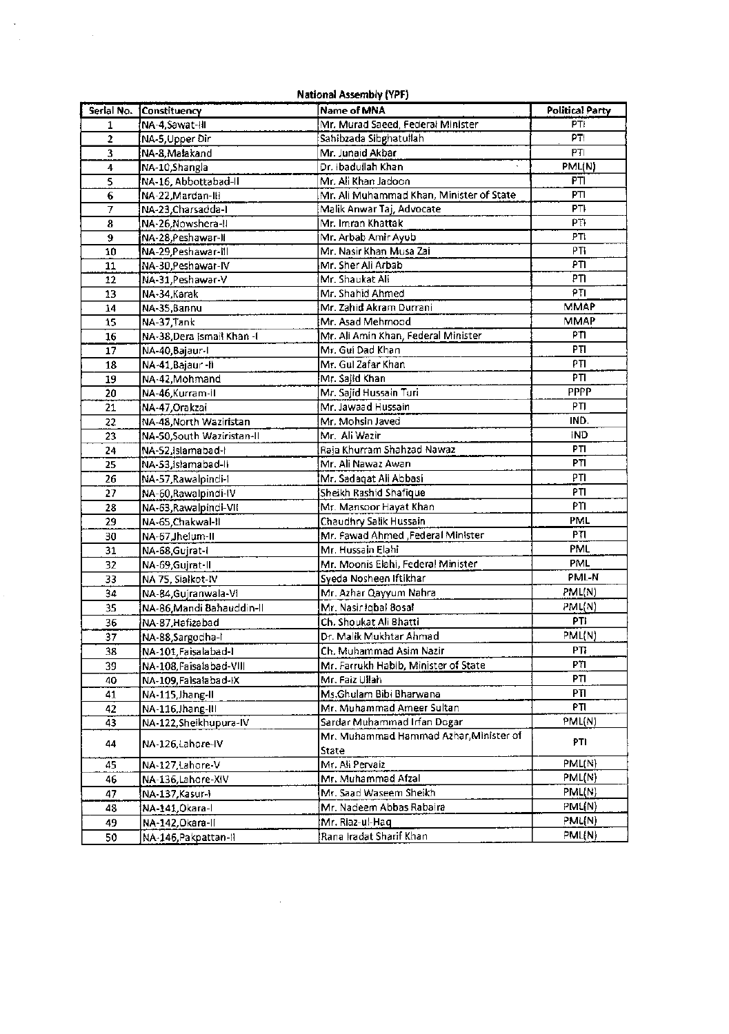| <b>National Assembly (YPF)</b> |                                           |                                                        |                        |  |
|--------------------------------|-------------------------------------------|--------------------------------------------------------|------------------------|--|
| Serial No.                     | Constituency                              | Name of MNA                                            | <b>Political Party</b> |  |
| $\mathbf 1$                    | NA-4,Sawat-III                            | Mr. Murad Saeed, Federal Minister                      | PT!                    |  |
| $\overline{2}$                 | NA-5, Upper Dir                           | Sahibzada Sibghatullah                                 | PTI                    |  |
| 3                              | NA-8, Malakand                            | Mr. Junaid Akbar                                       | PTI                    |  |
| 4                              | NA-10, Shangla                            | Dr. Ibadullah Khan                                     | PML(N)                 |  |
| 5                              | NA-16, Abbottabad-II                      | Mr. Ali Khan Jadoon                                    | PTI                    |  |
| 6                              | NA-22, Mardan-III                         | Mr. Ali Muhammad Khan, Minister of State               | PTI                    |  |
| 7                              | NA-23, Charsadda-I                        | Malik Anwar Taj, Advocate                              | PTI                    |  |
| 8                              | NA-26, Nowshera-II                        | Mr. Imran Khattak                                      | PTI                    |  |
| 9                              | NA-28, Peshawar-II                        | Mr. Arbab Amir Ayub                                    | PT <sub>t</sub>        |  |
| 10                             | NA-29, Peshawar-III                       | Mr. Nasir Khan Musa Zai                                | PTI <sub></sub>        |  |
| 11                             | NA-30, Peshawar-IV                        | Mr. Sher Ali Arbab                                     | PTI                    |  |
| 12                             | NA-31, Peshawar-V                         | Mr. Shaukat Ali                                        | PTI                    |  |
| 13                             | NA-34,Karak                               | Mr. Shahid Ahmed                                       | PTI                    |  |
| 14                             | NA-35, Bannu                              | Mr. Zahid Akram Durrani                                | <b>MMAP</b>            |  |
| 15                             | NA-37,Tank                                | Mr. Asad Mehmood                                       | <b>MMAP</b>            |  |
| 16                             | NA-38, Dera Ismail Khan-I                 | Mr. Ali Amin Khan, Federal Minister                    | PTI                    |  |
| 17                             | NA-40, Bajaur-I                           | Mr. Gui Dad Khan                                       | PTI                    |  |
| 18                             | NA-41, Bajaur-II                          | Mr. Gul Zafar Khan                                     | PTI                    |  |
| 19                             | NA-42, Mohmand                            | Mr. Sajid Khan                                         | PTI                    |  |
| 20                             | NA-46, Kurram-II                          | Mr. Sajid Hussain Turi                                 | <b>PPPP</b>            |  |
| 21                             | NA-47, Orakzai                            | Mr. Jawaad Hussain                                     | PTI                    |  |
| 22                             | NA-48, North Waziristan                   | Mr. Mohsin Javed                                       | IND.                   |  |
| 23                             | NA-50,South Waziristan-II                 | Mr. Ali Wazir                                          | IND                    |  |
| 24                             | NA-52, islamabad-l                        | Raia Khurram Shahzad Nawaz                             | PTI                    |  |
| 25                             | NA-53, Islamabad-II                       | Mr. Ali Nawaz Awan                                     | PTI                    |  |
| 26                             | NA-57, Rawalpindi-1                       | Mr. Sadaqat Ali Abbasi                                 | PTI                    |  |
| 27                             | NA-60, Rawalpindi-IV                      | Sheikh Rashid Shafique                                 | PTI                    |  |
| 28                             | NA-63, Rawalpindi-VII                     | Mr. Mansoor Hayat Khan                                 | PTI                    |  |
| 29                             | NA-65, Chakwal-II                         | Chaudhry Salik Hussain                                 | PML                    |  |
| 30                             | NA-67, Jhelum-II                          | Mr. Fawad Ahmed ,Federal Minister                      | PTI                    |  |
| 31                             | NA-68, Gujrat-I                           | Mr. Hussain Elahi                                      | <b>PML</b>             |  |
| 32                             | NA-69, Gujrat-II                          | Mr. Moonis Elahi, Federal Minister                     | PML                    |  |
| 33                             | NA 75, Siałkot-IV                         | Syeda Nosheen Iftikhar                                 | PML-N                  |  |
| 34                             | NA-84, Gujranwala-VI                      | Mr. Azhar Qayyum Nahra                                 | PML(N)                 |  |
| 35                             | NA-86, Mandi Bahauddin-II                 | Mr. Nasir iqbal Bosal                                  | PML(N)                 |  |
| 36                             | NA-87, Hafizabad                          | Ch. Shoukat Ali Bhatti                                 | PTI                    |  |
|                                |                                           | Dr. Malik Mukhtar Ahmad                                | PML(N)                 |  |
| 37<br>38                       | NA-88, Sargodha-I<br>NA-101, Faisalabad-I | Ch. Muhammad Asim Nazir                                | PTI                    |  |
|                                |                                           |                                                        | P٦                     |  |
| 39                             | NA-108, Faisalabad-VIII                   | Mr. Farrukh Habib, Minister of State<br>Mr. Faiz Ullah | PTI                    |  |
| 40                             | NA-109, Faisalabad-IX                     |                                                        | PΠ                     |  |
| 41                             | NA-115, Jhang-II                          | Ms.Ghulam Bibi Bharwana                                | PTI                    |  |
| 42                             | NA-116, Jhang-III                         | Mr. Muhammad Ameer Sultan                              | PML(N)                 |  |
| 43                             | NA-122, Sheikhupura-IV                    | Sardar Muhammad Irfan Dogar                            |                        |  |
| 44                             | NA-126,Lahore-IV                          | Mr. Muhammad Hammad Azhar, Minister of<br>State        | PTI                    |  |
| 45                             | NA-127,Lahore-V                           | Mr. Ali Pervaiz                                        | PML(N)                 |  |
| 46                             | NA-136,Lahore-XIV                         | Mr. Muhammad Afzal                                     | PML(N)                 |  |
| 47                             | NA-137, Kasur-1                           | Mr. Saad Waseem Sheikh                                 | PML(N)                 |  |
| 48                             | NA-141, Okara-I                           | Mr. Nadeem Abbas Rabaira                               | PML(N)                 |  |
| 49                             | NA-142, Okara-II                          | Mr. Riaz-ul-Haq                                        | PML(N)                 |  |
| 50                             | NA-146, Pakpattan-II                      | Rana Iradat Sharif Khan                                | PML(N)                 |  |

 $\label{eq:2.1} \mathcal{L}(\mathcal{L}^{\text{max}}_{\mathcal{L}}(\mathcal{L}^{\text{max}}_{\mathcal{L}}),\mathcal{L}^{\text{max}}_{\mathcal{L}^{\text{max}}_{\mathcal{L}}})$ 

 $\label{eq:2.1} \frac{d\mathbf{r}}{d\mathbf{r}} = \frac{1}{2} \left( \frac{d\mathbf{r}}{d\mathbf{r}} \right)^2 \left( \frac{d\mathbf{r}}{d\mathbf{r}} \right)^2.$ 

 $\epsilon_{\rm c}$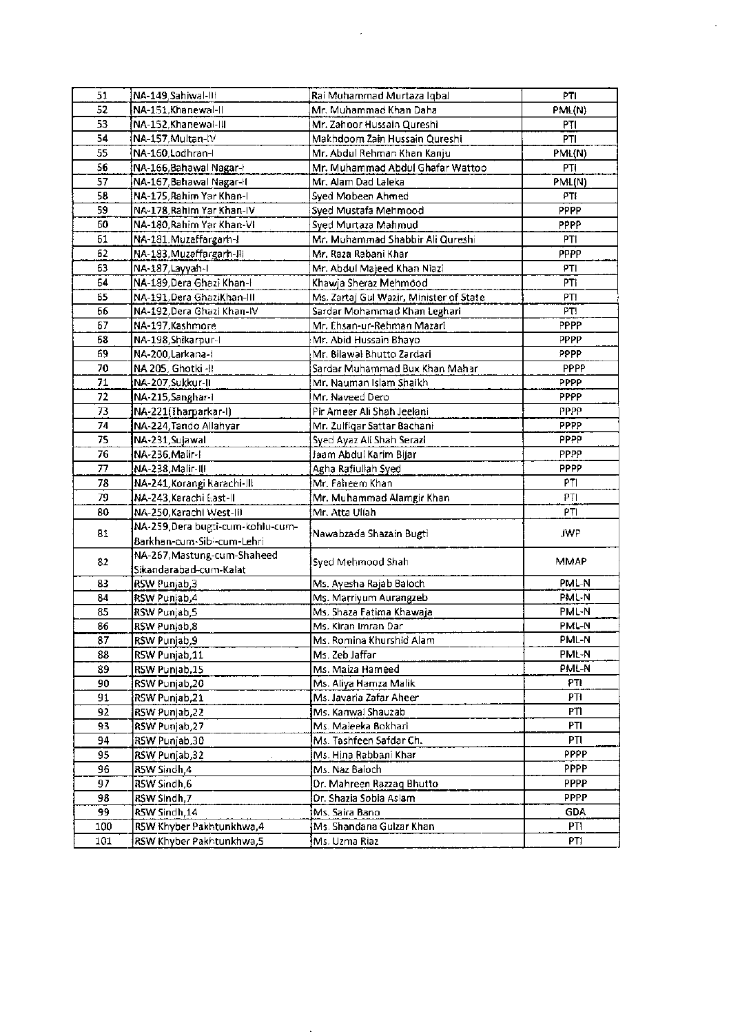| 51  | NA-149, Sahiwal-III              | Rai Muhammad Murtaza Iqbal              | PTI         |
|-----|----------------------------------|-----------------------------------------|-------------|
| 52  | NA-151.Khanewal-II               | Mr. Muhammad Khan Daha                  | PML(N)      |
| 53  | NA-152, Khanewai-III             | Mr. Zahoor Hussain Qureshi              | PTI         |
| 54  | NA-157, Multan-IV                | Makhdoom Zain Hussain Qureshi           | PTI         |
| 55  | NA-160, Lodhran-I                | Mr. Abdul Rehman Khan Kanju             | PML(N)      |
| 56  | NA-166, Bahawal Nagar-I          | Mr. Muhammad Abdul Ghafar Wattoo        | PTI         |
| 57  | NA-167, Bahawal Nagar-H          | Mr. Alam Dad Laleka                     | PML(N)      |
| 58  | NA-175, Rahim Yar Khan-I         | Syed Mobeen Ahmed                       | PTI         |
| 59  | NA-178, Rahim Yar Khan-IV        | Syed Mustafa Mehmood                    | PPPP        |
| 60  | NA-180, Rahim Yar Khan-VI        | Syed Murtaza Mahmud                     | <b>PPPP</b> |
| 61  | NA-181, Muzaffargarh-I           | Mr. Muhammad Shabbir Ali Qureshi        | PTI         |
| 62  | NA-183, Muzaffargarh-IR          | Mr. Raza Rabani Khar                    | <b>PPPP</b> |
| 63  | NA-187,Layyah-I                  | Mr. Abdul Majeed Khan Niazi             | PTI         |
| 64  | NA-189, Dera Ghazi Khan-l        | Khawja Sheraz Mehmood                   | PTI         |
| 65  | NA-191, Dera GhaziKhan-III       | Ms. Zartaj Gul Wazir, Minister of State | PTI         |
| 66  | NA-192, Dera Ghazi Khan-IV       | Sardar Mohammad Khan Leghari            | PT!         |
| 67  | NA-197, Kashmore                 | Mr. Ehsan-ur-Rehman Mazari              | PPPP        |
| 68  | NA-198, Shikarpur-I              | Mr. Abid Hussain Bhayo                  | <b>PPPP</b> |
| 69  | NA-200, Larkana-I                | Mr. Bilawal Bhutto Zardari              | PPPP        |
| 70  | NA 205, Ghotki - II              | Sardar Muhammad Bux Khan Mahar          | PPPP        |
| 71  | NA-207, Sukkur-II                | Mr. Nauman Islam Shaikh                 | <b>PPPP</b> |
| 72  | NA-215, Sanghar-I                | Mr. Naveed Dero                         | <b>PPPP</b> |
| 73  | NA-221(Tharparkar-I)             | Pir Ameer Ali Shah Jeelani              | PPPP        |
| 74  | NA-224, Tando Allahyar           | Mr. Zulfigar Sattar Bachani             | <b>PPPP</b> |
| 75  | NA-231,Sujawal                   | Syed Ayaz Ali Shah Serazi               | PPPP.       |
| 76  | NA-236,Malir-I                   | Jaam Abdul Karim Bijar                  | PPPP        |
| 77  | NA-238, Malir-III                | Agha Rafiullah Syed                     | <b>PPPP</b> |
| 78  | NA-241, Korangi Karachi-III      | Mr. Faheem Khan                         | PTI         |
| 79  | NA-243, Karachi East-II          | Mr. Muhammad Alamgir Khan               | PTI         |
| 80  | NA-250, Karachi West-Ili         | Mr. Atta Ullah                          | PTI         |
|     | NA-259,Dera bugti-cum-kohlu-cum- |                                         |             |
| 81  | Barkhan-cum-Sibi-cum-Lehri       | Nawabzada Shazain Bugti                 | JWP         |
|     | NA-267, Mastung-cum-Shaheed      |                                         | MMAP        |
| 82  | Sikandarabad-cum-Kalat           | Syed Mehmood Shah                       |             |
| 83  | RSW Punjab,3                     | Ms. Ayesha Rajab Baioch                 | PML-N       |
| 84  | RSW Punjab,4                     | Ms. Marriyum Aurangzeb                  | PML-N       |
| 85  | RSW Punjab, 5                    | Ms. Shaza Fatima Khawaja                | PML-N       |
| 86  | RSW Punjab,8                     | Ms. Kiran Imran Dar                     | PML-N       |
| 87  | RSW Punjab,9                     | Ms. Romina Khurshid Alam                | PML-N       |
| 88  | RSW Punjab,11                    | Ms. Zeb Jaffar                          | PML-N       |
| 89  | RSW Punjab,15                    | Ms. Maiza Hameed                        | PML-N       |
| 90  | RSW Punjab,20                    | Ms. Aliya Hamza Malik                   | PTI         |
| 91  | RSW Punjab,21                    | Ms. Javaria Zafar Aheer                 | PTI         |
| 92  | RSW Punjab,22                    | Ms. Kanwal Shauzab                      | PTI.        |
| 93  | RSW Punjab,27                    | Ms. Maleeka Bokhari                     | PTI         |
| 94  | RSW Punjab,30-                   | Ms. Tashfeen Safdar Ch.                 | PTI         |
| 95  | RSW Punjab,32                    | Ms. Hina Rabbani Khar                   | <b>PPPP</b> |
| 96  | <b>RSW Sindh,4</b>               | Ms. Naz Baloch                          | <b>PPPP</b> |
| 97  | RSW Sindh,6                      | Dr. Mahreen Razzaq Bhutto               | PPPP        |
| 98  | RSW Sindh,7                      | Dr. Shazia Sobia Aslam                  | <b>PPPP</b> |
| 99  | RSW Sindh,14                     | Ms. Saira Bano                          | <b>GDA</b>  |
| 100 | RSW Khyber Pakhtunkhwa, 4        | Ms. Shandana Gulzar Khan                | PTI         |
|     |                                  |                                         |             |
| 101 | RSW Khyber Pakhtunkhwa,5         | Ms. Uzma Riaz                           | PTI.        |

 $\label{eq:2} \mathcal{L} = \mathcal{L} \left( \mathcal{L} \right) \mathcal{L} \left( \mathcal{L} \right)$ 

 $\mathbb{Z}^{\mathbb{Z}}$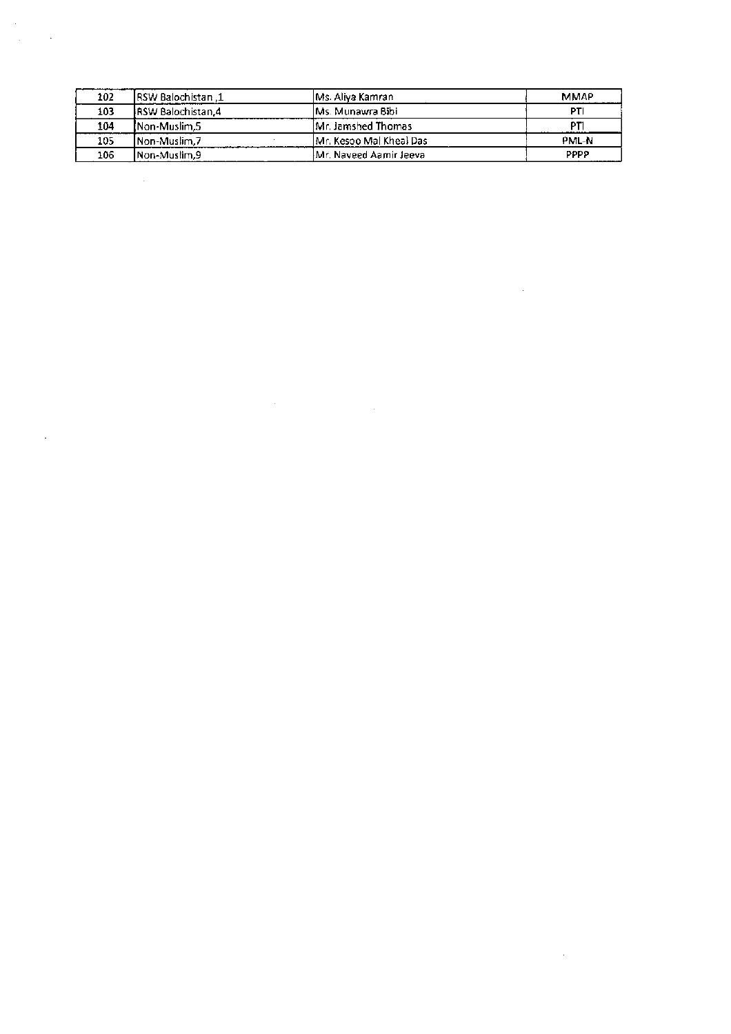| 102 | 1. IRSW Balochistan       | IMs. Aliya Kamrani      | <b>MMAP</b> |
|-----|---------------------------|-------------------------|-------------|
| 103 | <b>IRSW Balochistan.4</b> | lMs. Munawra Bibil      | PΤ          |
| 104 | <b>INon-Muslim.5</b>      | Mr. Jamshed Thomas      | DТ          |
| 105 | <b>INon-Muslim.7</b>      | Mr. Kesoo Mal Kheal Das | PML-N       |
| 106 | INon-Muslim.9             | Mr. Naveed Aamir Jeeva  | PPPP        |

 $\label{eq:2.1} \frac{1}{\sqrt{2\pi}}\left(\frac{1}{\sqrt{2\pi}}\right)^{1/2}\left(\frac{1}{\sqrt{2\pi}}\right)^{1/2}\left(\frac{1}{\sqrt{2\pi}}\right)^{1/2}\left(\frac{1}{\sqrt{2\pi}}\right)^{1/2}\left(\frac{1}{\sqrt{2\pi}}\right)^{1/2}\left(\frac{1}{\sqrt{2\pi}}\right)^{1/2}\left(\frac{1}{\sqrt{2\pi}}\right)^{1/2}\left(\frac{1}{\sqrt{2\pi}}\right)^{1/2}\left(\frac{1}{\sqrt{2\pi}}\right)^{1/2}\left(\frac{1}{\sqrt{$ 

 $\label{eq:2.1} \frac{1}{\sqrt{2}}\left(\frac{1}{\sqrt{2}}\right)^{2} \frac{1}{\sqrt{2}}\left(\frac{1}{\sqrt{2}}\right)^{2} \frac{1}{\sqrt{2}}\left(\frac{1}{\sqrt{2}}\right)^{2} \frac{1}{\sqrt{2}}\left(\frac{1}{\sqrt{2}}\right)^{2} \frac{1}{\sqrt{2}}\left(\frac{1}{\sqrt{2}}\right)^{2} \frac{1}{\sqrt{2}}\left(\frac{1}{\sqrt{2}}\right)^{2} \frac{1}{\sqrt{2}}\left(\frac{1}{\sqrt{2}}\right)^{2} \frac{1}{\sqrt{2}}\left(\frac{$ 

 $\label{eq:2.1} \frac{1}{\sqrt{2}}\int_{\mathbb{R}^3}\frac{1}{\sqrt{2}}\left(\frac{1}{\sqrt{2}}\right)^2\frac{1}{\sqrt{2}}\left(\frac{1}{\sqrt{2}}\right)^2\frac{1}{\sqrt{2}}\left(\frac{1}{\sqrt{2}}\right)^2.$ 

 $\mathcal{L}_{\text{max}}$  and

 $\label{eq:2.1} \frac{1}{\sqrt{2}}\int_{\mathbb{R}^3}\frac{1}{\sqrt{2}}\left(\frac{1}{\sqrt{2}}\int_{\mathbb{R}^3}\frac{1}{\sqrt{2}}\left(\frac{1}{\sqrt{2}}\int_{\mathbb{R}^3}\frac{1}{\sqrt{2}}\right)\frac{1}{\sqrt{2}}\right)\frac{1}{\sqrt{2}}\,d\mu$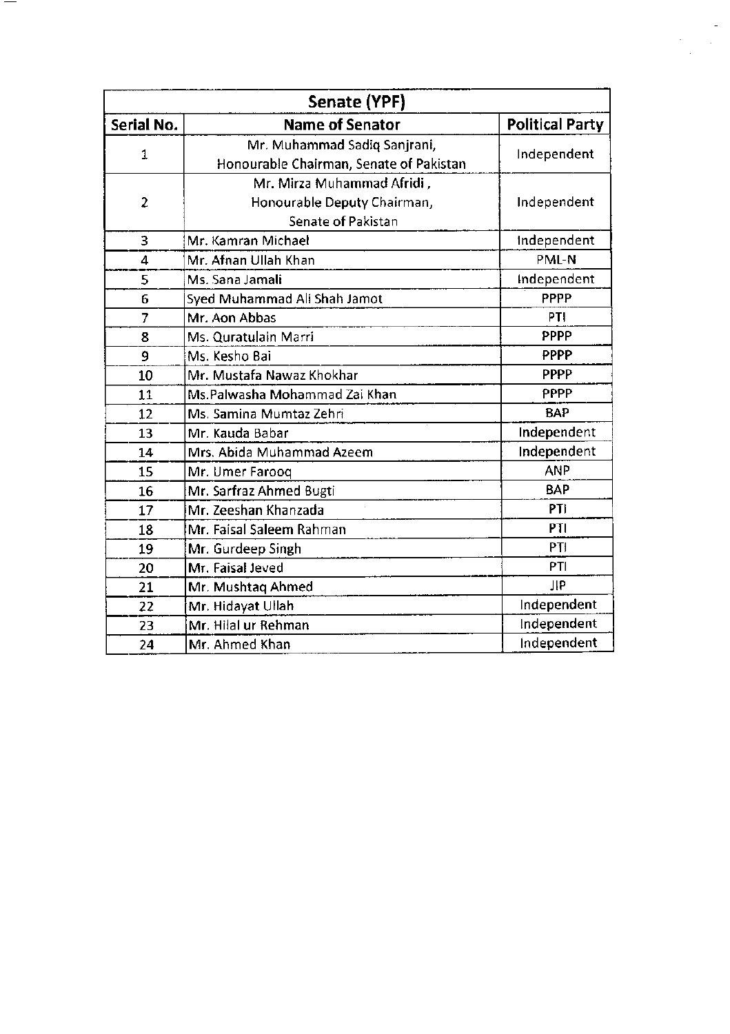| Senate (YPF)   |                                                                                        |                        |  |
|----------------|----------------------------------------------------------------------------------------|------------------------|--|
| Serial No.     | <b>Name of Senator</b>                                                                 | <b>Political Party</b> |  |
| 1              | Mr. Muhammad Sadiq Sanjrani,<br>Honourable Chairman, Senate of Pakistan                | Independent            |  |
| $\overline{c}$ | Mr. Mirza Muhammad Afridi,<br>Honourable Deputy Chairman,<br><b>Senate of Pakistan</b> | Independent            |  |
| 3              | Mr. Kamran Michael                                                                     | Independent            |  |
| 4              | Mr. Afnan Ullah Khan                                                                   | PML-N                  |  |
| 5              | Ms. Sana Jamali                                                                        | Independent            |  |
| 6              | Syed Muhammad Ali Shah Jamot                                                           | PPPP                   |  |
| $\overline{7}$ | Mr. Aon Abbas                                                                          | PTI                    |  |
| 8              | Ms. Quratulain Marri                                                                   | PPPP                   |  |
| 9              | Ms. Kesho Bai                                                                          | PPPP                   |  |
| 10             | Mr. Mustafa Nawaz Khokhar                                                              | <b>PPPP</b>            |  |
| 11             | Ms.Palwasha Mohammad Zai Khan                                                          | PPPP                   |  |
| 12             | Ms. Samina Mumtaz Zehri                                                                | <b>BAP</b>             |  |
| 13             | Mr. Kauda Babar                                                                        | Independent            |  |
| 14             | Mrs. Abida Muhammad Azeem                                                              | Independent            |  |
| 15             | Mr. Umer Farooq                                                                        | <b>ANP</b>             |  |
| 16             | Mr. Sarfraz Ahmed Bugti                                                                | <b>BAP</b>             |  |
| 17             | Mr. Zeeshan Khanzada                                                                   | PTI                    |  |
| 18             | Mr. Faisal Saleem Rahman                                                               | PTI                    |  |
| 19             | Mr. Gurdeep Singh                                                                      | PTI                    |  |
| 20             | Mr. Faisal Jeved                                                                       | PTI                    |  |
| 21             | Mr. Mushtaq Ahmed                                                                      | Лb                     |  |
| 22             | Mr. Hidayat Ullah                                                                      | Independent            |  |
| 23             | Mr. Hilal ur Rehman                                                                    | Independent            |  |
| 24             | Mr. Ahmed Khan                                                                         | Independent            |  |

 $\label{eq:2} \begin{split} \mathcal{L}_{\text{max}}(\mathbf{r}) = \mathcal{L}_{\text{max}}(\mathbf{r}) \\ \mathcal{L}_{\text{max}}(\mathbf{r}) = \mathcal{L}_{\text{max}}(\mathbf{r}) \end{split}$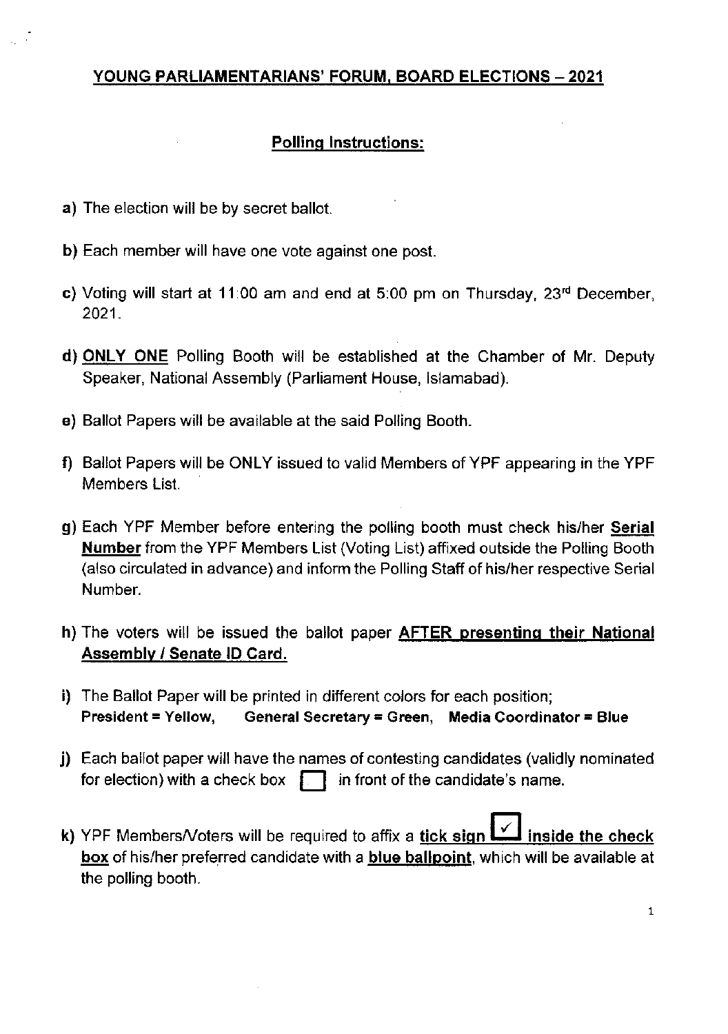## YOUNG PARLIAMENTARIANS' FORUM, BOARD ELECTIONS - 2021

### Polling Instructions:

- a) The election will be by secret ballot.
- b) Each member will have one vote against one post.
- c) Voting will start at 11:00 am and end at 5:00 pm on Thursday,  $23<sup>rd</sup>$  December, 2021.
- d) ONLY ONE Polling Booth will be established at the Chamber of Mr. Deputy Speaker, National Assembly (Parliament House, lslamabad)
- e) Ballot Papers will be available at the said Polling Booth
- f) Ballot Papers will be ONLY issued to valid Members of YPF appearing in the YPF Members List.
- g) Each YPF Member before entering the polling booth must check his/her Serial Number from the YPF Members List (Voting List) affixed outside the Polling Booth (also circulated in advance) and inform the Polling Staff of his/her respective Serial Number.
- h) The voters will be issued the ballot paper **AFTER presenting their National** Assembly / Senate lD Card
- i) The Ballot Paper will be printed in different colors for each position; President = Yellow, General Secretary = Green, Media Coordinator = Blue
- j) Each ballot paper will have the names of contesting candidates (validly nominated for election) with a check box  $\Box$  in front of the candidate's name.
- k) YPF Members/Voters will be required to affix a tick sign  $\mathbb{I}$  inside the check box of his/her preferred candidate with a blue ballpoint, which will be available at the polling booth.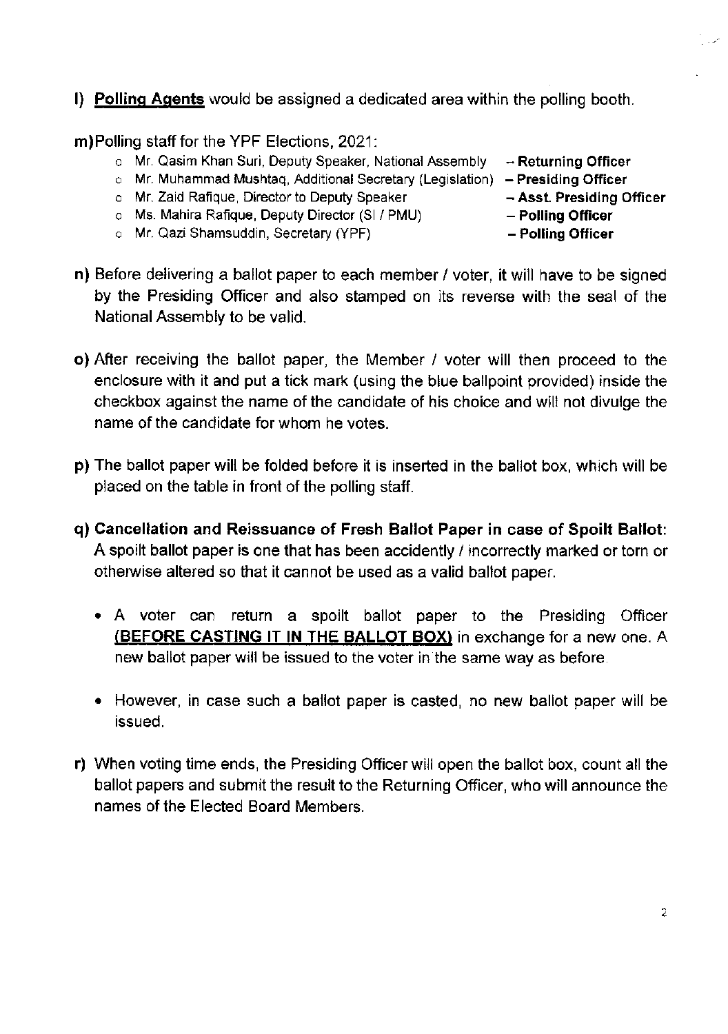l) Pollinq Aqents would be assigned a dedicated area within the polling booth

m) Polling staff for the YPF Elections, 2021:

- o Mr. Qasim Khan Suri, Deputy Speaker, National Assembly **Returning Officer**<br>o Mr. Muhammad Mushtag, Additional Secretary (Legislation) **Presiding Officer**
- o Mr. Muhammad Mushtaq, Additional Secretary (Legislation) Presiding Officer<br>o Mr. Zaid Rafique, Director to Deputy Speaker Asst. Presiding Officer
- o Mr. Zaid Rafique, Director to Deputy Speaker Asst. Presiding<br>o Ms. Mahira Rafique, Deputy Director (SI / PMU) **Polling Officer**
- o Ms. Mahira Rafique, Deputy Director (SI / PMU) Polling Officer<br>o Mr. Qazi Shamsuddin, Secretary (YPF) Polling Officer
- o Mr. Qazi Shamsuddin, Secretary (YPF)
- 
- 
- 
- 
- 
- n) Before delivering a ballot paper to each member / voter, it will have to be signed by the Presiding Officer and also stamped on its reverse with the seal of the National Assembly to be valid.
- o) After receiving the ballot paper, the Member / voter will then proceed to the enclosure with it and put a tick mark (using the blue ballpoint provided) inside the checkbox against the name of the candidate of his choice and will not divulge the name of the candidate for whom he votes.
- p) The ballot paper will be folded before it is inserted in the ballot box, which will be placed on the table in front of the polling staff.
- q) Cancellation and Reissuance of Fresh Ballot Paper in case of Spoilt Ballot: A spoilt ballot paper is one that has been accidently / incorrectly marked or torn or otherwise altered so that it cannot be used as a valid ballot paper.
	- A voter can return a spoilt ballot paper to the Presiding Officer (BEFORE CASTING IT IN THE BALLOT BOX) in exchange for a new one. A new ballot paperwill be issued to the voter in the same way as before.
	- However, in case such a ballot paper is casted, no new ballot paper will be issued.
- r) When voting time ends, the Presiding Officer will open the ballot box, count all the ballot papers and submit the result to the Returning Officer, who will announce the names of the Elected Board Members.